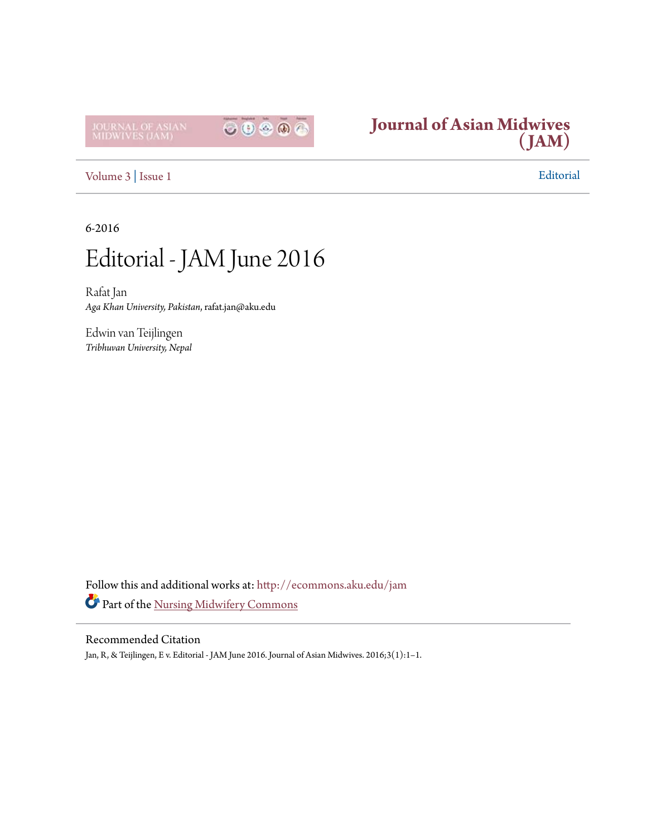



[Volume 3](http://ecommons.aku.edu/jam/vol3?utm_source=ecommons.aku.edu%2Fjam%2Fvol3%2Fiss1%2F1&utm_medium=PDF&utm_campaign=PDFCoverPages) | [Issue 1](http://ecommons.aku.edu/jam/vol3/iss1?utm_source=ecommons.aku.edu%2Fjam%2Fvol3%2Fiss1%2F1&utm_medium=PDF&utm_campaign=PDFCoverPages) Editorial

6-2016

## Editorial - JAM June 2016

Rafat Jan *Aga Khan University, Pakistan*, rafat.jan@aku.edu

Edwin van Teijlingen *Tribhuvan University, Nepal*

Follow this and additional works at: [http://ecommons.aku.edu/jam](http://ecommons.aku.edu/jam?utm_source=ecommons.aku.edu%2Fjam%2Fvol3%2Fiss1%2F1&utm_medium=PDF&utm_campaign=PDFCoverPages) Part of the [Nursing Midwifery Commons](http://network.bepress.com/hgg/discipline/722?utm_source=ecommons.aku.edu%2Fjam%2Fvol3%2Fiss1%2F1&utm_medium=PDF&utm_campaign=PDFCoverPages)

## Recommended Citation

Jan, R, & Teijlingen, E v. Editorial - JAM June 2016. Journal of Asian Midwives. 2016;3(1):1–1.